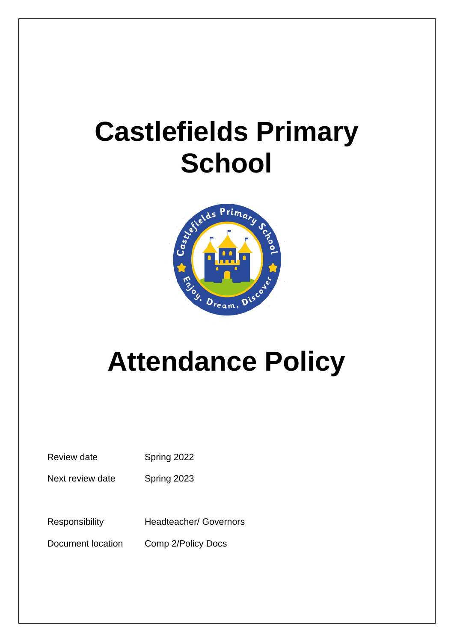# **Castlefields Primary School**



# **Attendance Policy**

Review date Spring 2022

Next review date Spring 2023

Responsibility Headteacher/ Governors

Document location Comp 2/Policy Docs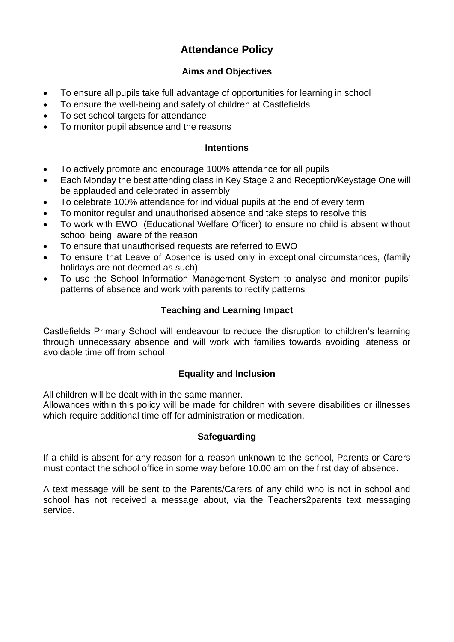# **Attendance Policy**

# **Aims and Objectives**

- To ensure all pupils take full advantage of opportunities for learning in school
- To ensure the well-being and safety of children at Castlefields
- To set school targets for attendance
- To monitor pupil absence and the reasons

#### **Intentions**

- To actively promote and encourage 100% attendance for all pupils
- Each Monday the best attending class in Key Stage 2 and Reception/Keystage One will be applauded and celebrated in assembly
- To celebrate 100% attendance for individual pupils at the end of every term
- To monitor regular and unauthorised absence and take steps to resolve this
- To work with EWO (Educational Welfare Officer) to ensure no child is absent without school being aware of the reason
- To ensure that unauthorised requests are referred to EWO
- To ensure that Leave of Absence is used only in exceptional circumstances, (family holidays are not deemed as such)
- To use the School Information Management System to analyse and monitor pupils' patterns of absence and work with parents to rectify patterns

# **Teaching and Learning Impact**

Castlefields Primary School will endeavour to reduce the disruption to children's learning through unnecessary absence and will work with families towards avoiding lateness or avoidable time off from school.

# **Equality and Inclusion**

All children will be dealt with in the same manner.

Allowances within this policy will be made for children with severe disabilities or illnesses which require additional time off for administration or medication.

## **Safeguarding**

If a child is absent for any reason for a reason unknown to the school, Parents or Carers must contact the school office in some way before 10.00 am on the first day of absence.

A text message will be sent to the Parents/Carers of any child who is not in school and school has not received a message about, via the Teachers2parents text messaging service.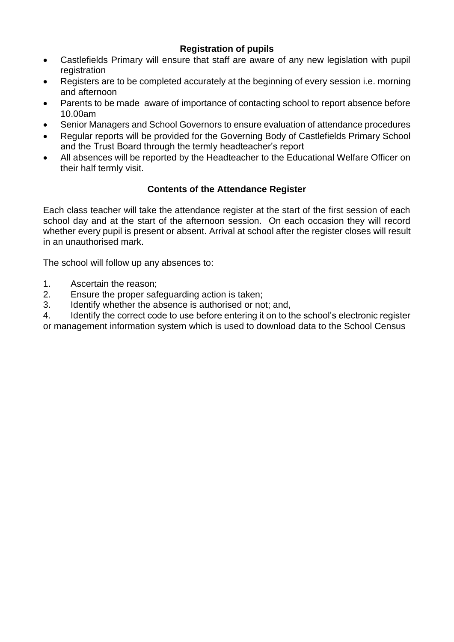# **Registration of pupils**

- Castlefields Primary will ensure that staff are aware of any new legislation with pupil registration
- Registers are to be completed accurately at the beginning of every session i.e. morning and afternoon
- Parents to be made aware of importance of contacting school to report absence before 10.00am
- Senior Managers and School Governors to ensure evaluation of attendance procedures
- Regular reports will be provided for the Governing Body of Castlefields Primary School and the Trust Board through the termly headteacher's report
- All absences will be reported by the Headteacher to the Educational Welfare Officer on their half termly visit.

## **Contents of the Attendance Register**

Each class teacher will take the attendance register at the start of the first session of each school day and at the start of the afternoon session. On each occasion they will record whether every pupil is present or absent. Arrival at school after the register closes will result in an unauthorised mark.

The school will follow up any absences to:

- 1. Ascertain the reason;
- 2. Ensure the proper safeguarding action is taken;
- 3. Identify whether the absence is authorised or not; and,
- 4. Identify the correct code to use before entering it on to the school's electronic register or management information system which is used to download data to the School Census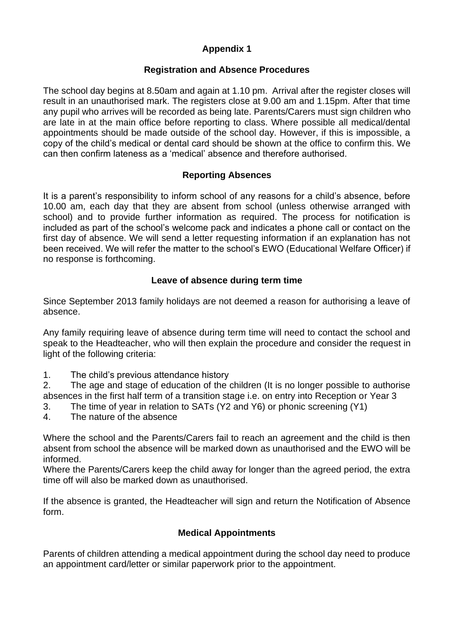# **Appendix 1**

## **Registration and Absence Procedures**

The school day begins at 8.50am and again at 1.10 pm. Arrival after the register closes will result in an unauthorised mark. The registers close at 9.00 am and 1.15pm. After that time any pupil who arrives will be recorded as being late. Parents/Carers must sign children who are late in at the main office before reporting to class. Where possible all medical/dental appointments should be made outside of the school day. However, if this is impossible, a copy of the child's medical or dental card should be shown at the office to confirm this. We can then confirm lateness as a 'medical' absence and therefore authorised.

#### **Reporting Absences**

It is a parent's responsibility to inform school of any reasons for a child's absence, before 10.00 am, each day that they are absent from school (unless otherwise arranged with school) and to provide further information as required. The process for notification is included as part of the school's welcome pack and indicates a phone call or contact on the first day of absence. We will send a letter requesting information if an explanation has not been received. We will refer the matter to the school's EWO (Educational Welfare Officer) if no response is forthcoming.

#### **Leave of absence during term time**

Since September 2013 family holidays are not deemed a reason for authorising a leave of absence.

Any family requiring leave of absence during term time will need to contact the school and speak to the Headteacher, who will then explain the procedure and consider the request in light of the following criteria:

1. The child's previous attendance history

2. The age and stage of education of the children (It is no longer possible to authorise absences in the first half term of a transition stage i.e. on entry into Reception or Year 3

- 3. The time of year in relation to SATs (Y2 and Y6) or phonic screening (Y1)
- 4. The nature of the absence

Where the school and the Parents/Carers fail to reach an agreement and the child is then absent from school the absence will be marked down as unauthorised and the EWO will be informed.

Where the Parents/Carers keep the child away for longer than the agreed period, the extra time off will also be marked down as unauthorised.

If the absence is granted, the Headteacher will sign and return the Notification of Absence form.

## **Medical Appointments**

Parents of children attending a medical appointment during the school day need to produce an appointment card/letter or similar paperwork prior to the appointment.